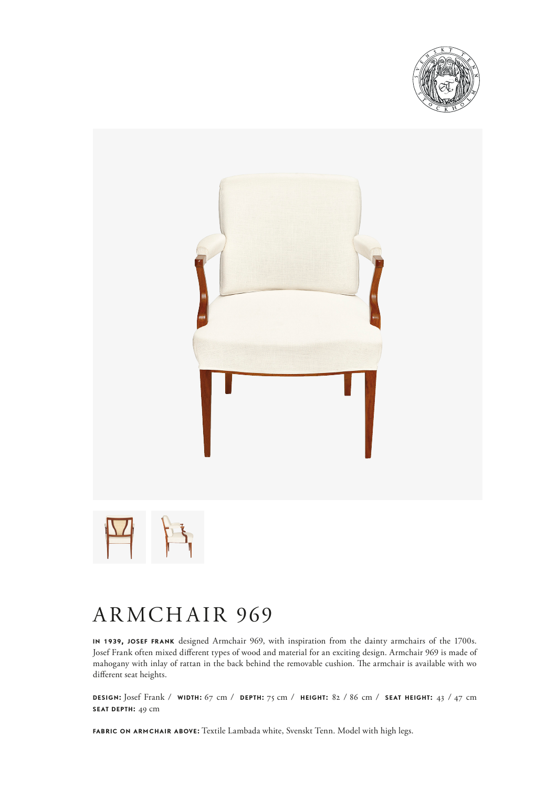



## ARMCHAIR 969

**IN 1939, JOSEF FRANK** designed Armchair 969, with inspiration from the dainty armchairs of the 1700s. Josef Frank often mixed different types of wood and material for an exciting design. Armchair 969 is made of mahogany with inlay of rattan in the back behind the removable cushion. The armchair is available with wo different seat heights.

**dESIGN:** Josef Frank / WIDTH: 67 cm / DEPTH: 75 cm / HEIGHT: 82 / 86 cm / SEAT HEIGHT: 43 / 47 cm **SEAT DEPTH: 49 cm** 

FABRIC ON ARMCHAIR ABOVE: Textile Lambada white, Svenskt Tenn. Model with high legs.